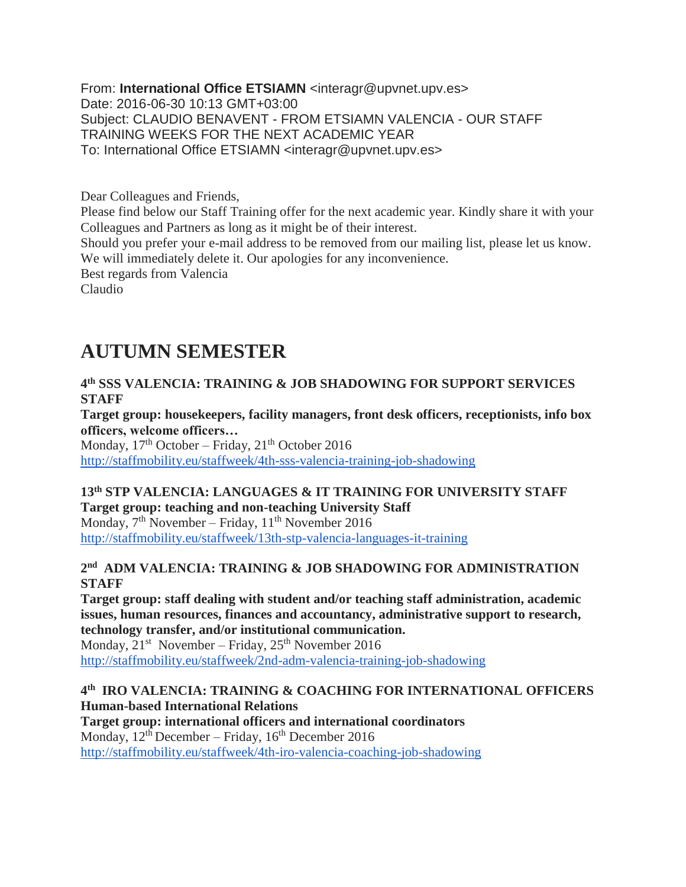From: **International Office ETSIAMN** <interagr@upvnet.upv.es> Date: 2016-06-30 10:13 GMT+03:00 Subject: CLAUDIO BENAVENT - FROM ETSIAMN VALENCIA - OUR STAFF TRAINING WEEKS FOR THE NEXT ACADEMIC YEAR To: International Office ETSIAMN <interagr@upvnet.upv.es>

Dear Colleagues and Friends,

Please find below our Staff Training offer for the next academic year. Kindly share it with your Colleagues and Partners as long as it might be of their interest.

Should you prefer your e-mail address to be removed from our mailing list, please let us know. We will immediately delete it. Our apologies for any inconvenience.

Best regards from Valencia

Claudio

# **AUTUMN SEMESTER**

**4 th SSS VALENCIA: TRAINING & JOB SHADOWING FOR SUPPORT SERVICES STAFF**

**Target group: housekeepers, facility managers, front desk officers, receptionists, info box officers, welcome officers…**

Monday,  $17<sup>th</sup>$  October – Friday,  $21<sup>th</sup>$  October 2016 <http://staffmobility.eu/staffweek/4th-sss-valencia-training-job-shadowing>

**13th STP VALENCIA: LANGUAGES & IT TRAINING FOR UNIVERSITY STAFF Target group: teaching and non-teaching University Staff** Monday,  $7<sup>th</sup>$  November – Friday,  $11<sup>th</sup>$  November 2016

<http://staffmobility.eu/staffweek/13th-stp-valencia-languages-it-training>

#### **2 nd ADM VALENCIA: TRAINING & JOB SHADOWING FOR ADMINISTRATION STAFF**

**Target group: staff dealing with student and/or teaching staff administration, academic issues, human resources, finances and accountancy, administrative support to research, technology transfer, and/or institutional communication.**

Monday,  $21^{st}$  November – Friday,  $25^{th}$  November 2016 <http://staffmobility.eu/staffweek/2nd-adm-valencia-training-job-shadowing>

#### **4 th IRO VALENCIA: TRAINING & COACHING FOR INTERNATIONAL OFFICERS Human-based International Relations**

**Target group: international officers and international coordinators** Monday,  $12^{th}$  December – Friday,  $16^{th}$  December 2016 <http://staffmobility.eu/staffweek/4th-iro-valencia-coaching-job-shadowing>